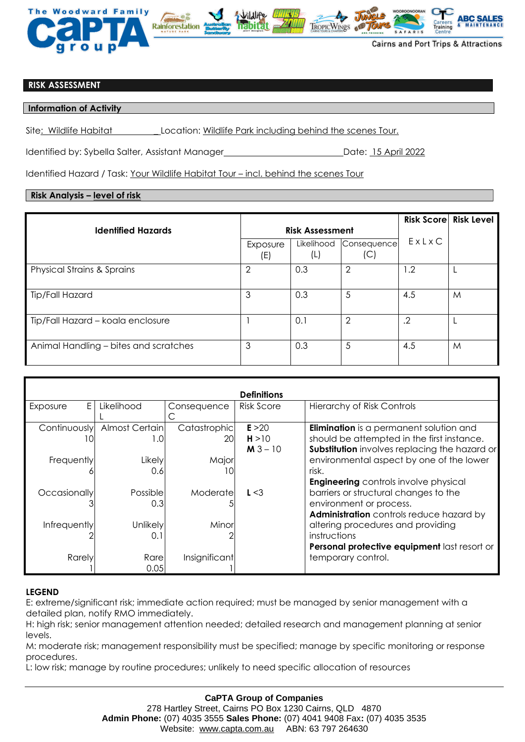

### **RISK ASSESSMENT**

### **Information of Activity**

Site: Wildlife Habitat \_ Location: Wildlife Park including behind the scenes Tour.

Identified by: Sybella Salter, Assistant Manager Date: 15 April 2022

Identified Hazard / Task: Your Wildlife Habitat Tour - incl. behind the scenes Tour

# **Risk Analysis – level of risk**

|                                       |                        |                   |                    |            | <b>Risk Score Risk Level</b> |
|---------------------------------------|------------------------|-------------------|--------------------|------------|------------------------------|
| <b>Identified Hazards</b>             | <b>Risk Assessment</b> |                   |                    |            |                              |
|                                       | Exposure<br>(E)        | Likelihood<br>(L) | Consequence<br>(C) | ExLxC      |                              |
| <b>Physical Strains &amp; Sprains</b> | 2                      | 0.3               | $\overline{2}$     | 1.2        |                              |
| Tip/Fall Hazard                       | 3                      | 0.3               | 5                  | 4.5        | M                            |
| Tip/Fall Hazard - koala enclosure     |                        | 0.1               | $\overline{2}$     | $\cdot$ .2 |                              |
| Animal Handling - bites and scratches | 3                      | 0.3               | 5                  | 4.5        | M                            |

| <b>Definitions</b> |                |               |            |                                                |  |  |  |  |
|--------------------|----------------|---------------|------------|------------------------------------------------|--|--|--|--|
| E.<br>Exposure     | Likelihood     | Consequence   | Risk Score | <b>Hierarchy of Risk Controls</b>              |  |  |  |  |
|                    |                |               |            |                                                |  |  |  |  |
| Continuously       | Almost Certain | Catastrophic  | E > 20     | <b>Elimination</b> is a permanent solution and |  |  |  |  |
| ΙO                 | 1.0            | <b>20l</b>    | H > 10     | should be attempted in the first instance.     |  |  |  |  |
|                    |                |               | $M3 - 10$  | Substitution involves replacing the hazard or  |  |  |  |  |
| Frequently         | Likely         | Major         |            | environmental aspect by one of the lower       |  |  |  |  |
|                    | 0.6            | 10            |            | risk.                                          |  |  |  |  |
|                    |                |               |            | <b>Engineering</b> controls involve physical   |  |  |  |  |
| Occasionally       | Possible       | Moderate      | L < 3      | barriers or structural changes to the          |  |  |  |  |
|                    | 0.3            |               |            | environment or process.                        |  |  |  |  |
|                    |                |               |            | Administration controls reduce hazard by       |  |  |  |  |
| Infrequently       | Unlikely       | Minor         |            | altering procedures and providing              |  |  |  |  |
|                    | 0.1            |               |            | instructions                                   |  |  |  |  |
|                    |                |               |            | Personal protective equipment last resort or   |  |  |  |  |
| Rarely             | Rare           | Insignificant |            | temporary control.                             |  |  |  |  |
|                    | 0.05           |               |            |                                                |  |  |  |  |

## **LEGEND**

E: extreme/significant risk; immediate action required; must be managed by senior management with a detailed plan, notify RMO immediately.

H: high risk; senior management attention needed; detailed research and management planning at senior levels.

M: moderate risk; management responsibility must be specified; manage by specific monitoring or response procedures.

L: low risk; manage by routine procedures; unlikely to need specific allocation of resources